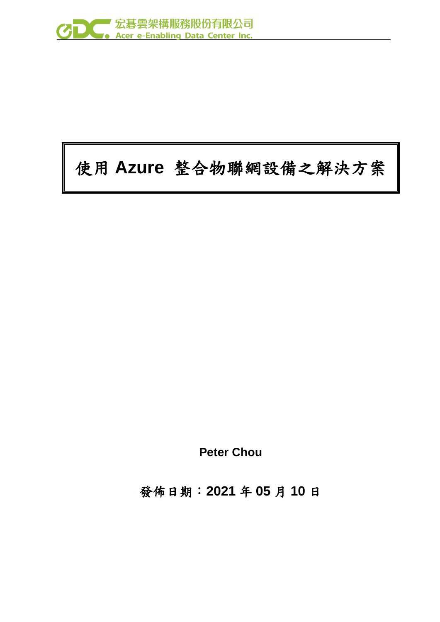

# 使用 **Azure** 整合物聯網設備之解決方案

**Peter Chou**

發佈日期:**2021** 年 **05** 月 **10** 日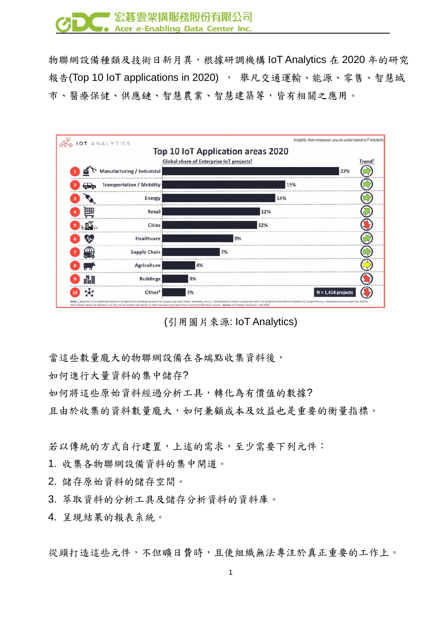

物聯網設備種類及技術日新月異,根據研調機構 IoT Analytics 在 2020 年的研究 報告(Top 10 IoT applications in 2020), 舉凡交通運輸、能源、零售、智慧城 市、醫療保健、供應鏈、智慧農業、智慧建築等,皆有相關之應用。

| IOT ANALYTICS                    |                                                      | Insights that empower you to understand IoT markets |                    |
|----------------------------------|------------------------------------------------------|-----------------------------------------------------|--------------------|
|                                  | Top 10 IoT Application areas 2020                    |                                                     |                    |
|                                  | Global share of Enterprise IoT projects <sup>1</sup> |                                                     | Trend <sup>2</sup> |
| Manufacturing / Industrial       |                                                      | 22%                                                 |                    |
| <b>Transportation / Mobility</b> |                                                      | 15%                                                 |                    |
| Energy                           | 14%                                                  |                                                     |                    |
| 囲<br>Retail                      | 12%                                                  |                                                     |                    |
| <b>Cities</b>                    | 12%                                                  |                                                     |                    |
| Healthcare                       | 9%                                                   |                                                     |                    |
| <b>Supply Chain</b>              | 7%                                                   |                                                     |                    |
| <b>Agriculture</b>               | 4%                                                   |                                                     |                    |
| <b>HI</b><br><b>Buildings</b>    | 3%                                                   |                                                     |                    |
| Other <sup>3</sup>               | 3%                                                   | $N = 1,414$ projects                                |                    |

(引用圖片來源: IoT Analytics)

當這些數量龐大的物聯網設備在各端點收集資料後,

如何進行大量資料的集中儲存?

如何將這些原始資料經過分析工具,轉化為有價值的數據?

且由於收集的資料數量龐大,如何兼顧成本及效益也是重要的衡量指標。

若以傳統的方式自行建置,上述的需求,至少需要下列元件:

1. 收集各物聯網設備資料的集中閘道。

2. 儲存原始資料的儲存空間。

3. 萃取資料的分析工具及儲存分析資料的資料庫。

4. 呈現結果的報表系統。

從頭打造這些元件,不但曠日費時,且使組織無法專注於真正重要的工作上。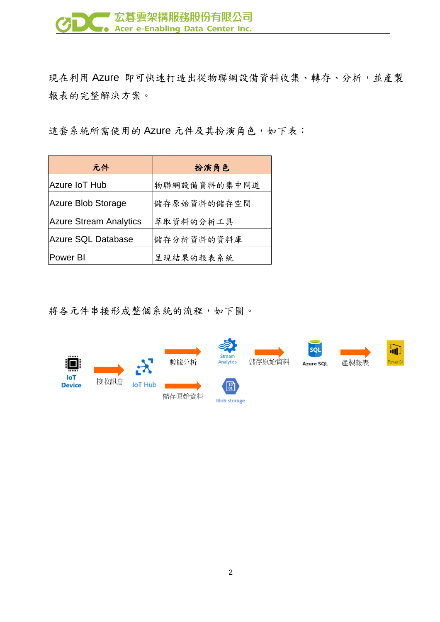

現在利用 Azure 即可快速打造出從物聯網設備資料收集、轉存、分析,並產製 報表的完整解決方案。

這套系統所需使用的 Azure 元件及其扮演角色,如下表:

| 元件                            | 扮演角色         |
|-------------------------------|--------------|
| Azure IoT Hub                 | 物聯網設備資料的集中閘道 |
| <b>Azure Blob Storage</b>     | 儲存原始資料的儲存空間  |
| <b>Azure Stream Analytics</b> | 萃取資料的分析工具    |
| <b>Azure SQL Database</b>     | 儲存分析資料的資料庫   |
| <b>Power BI</b>               | 呈現結果的報表系統    |

將各元件串接形成整個系統的流程,如下圖。

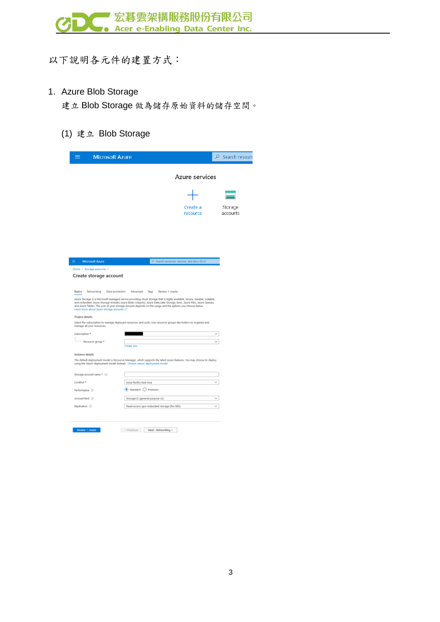

以下說明各元件的建置方式:

#### 1. Azure Blob Storage

建立 Blob Storage 做為儲存原始資料的儲存空間。

(1) 建立 Blob Storage

|                                               | <b>Microsoft Azure</b>                                                                                                                                                                                                                                                                                                                                                                                 |                      | $\varphi$ Search resourc |
|-----------------------------------------------|--------------------------------------------------------------------------------------------------------------------------------------------------------------------------------------------------------------------------------------------------------------------------------------------------------------------------------------------------------------------------------------------------------|----------------------|--------------------------|
|                                               |                                                                                                                                                                                                                                                                                                                                                                                                        | Azure services       |                          |
|                                               |                                                                                                                                                                                                                                                                                                                                                                                                        |                      |                          |
|                                               |                                                                                                                                                                                                                                                                                                                                                                                                        |                      |                          |
|                                               |                                                                                                                                                                                                                                                                                                                                                                                                        | Create a<br>resource | Storage<br>accounts      |
|                                               |                                                                                                                                                                                                                                                                                                                                                                                                        |                      |                          |
|                                               |                                                                                                                                                                                                                                                                                                                                                                                                        |                      |                          |
|                                               |                                                                                                                                                                                                                                                                                                                                                                                                        |                      |                          |
| <b>Microsoft Azure</b>                        | P Search resources, services, and docs (G+/)                                                                                                                                                                                                                                                                                                                                                           |                      |                          |
| Home > Storage accounts >                     |                                                                                                                                                                                                                                                                                                                                                                                                        |                      |                          |
| Create storage account                        |                                                                                                                                                                                                                                                                                                                                                                                                        |                      |                          |
|                                               |                                                                                                                                                                                                                                                                                                                                                                                                        |                      |                          |
| Basics<br>Data protection<br>Networking       | Advanced<br>Tags<br>Review + create<br>Azure Storage is a Microsoft-managed service providing cloud storage that is highly available, secure, durable, scalable,<br>and redundant. Azure Storage includes Azure Blobs (objects), Azure Data Lake Storage Gen2, Azure Files, Azure Queues,<br>and Azure Tables. The cost of your storage account depends on the usage and the options you choose below. |                      |                          |
| Learn more about Azure storage accounts of    |                                                                                                                                                                                                                                                                                                                                                                                                        |                      |                          |
| Project details<br>manage all your resources. | Select the subscription to manage deployed resources and costs. Use resource groups like folders to organize and                                                                                                                                                                                                                                                                                       |                      |                          |
| Subscription *                                |                                                                                                                                                                                                                                                                                                                                                                                                        |                      |                          |
| Resource group *                              |                                                                                                                                                                                                                                                                                                                                                                                                        |                      |                          |
|                                               | <b>Create</b> new                                                                                                                                                                                                                                                                                                                                                                                      |                      |                          |
| Instance details                              |                                                                                                                                                                                                                                                                                                                                                                                                        |                      |                          |
|                                               | The default deployment model is Resource Manager, which supports the latest Azure features. You may choose to deploy<br>using the classic deployment model instead. Choose classic deployment model                                                                                                                                                                                                    |                      |                          |
| Storage account name * 0                      |                                                                                                                                                                                                                                                                                                                                                                                                        |                      |                          |
| Location *                                    | (Asia Pacific) East Asia                                                                                                                                                                                                                                                                                                                                                                               |                      |                          |
| Performance ©                                 | $\odot$ Standard $\bigcirc$ Premium                                                                                                                                                                                                                                                                                                                                                                    |                      |                          |
| Account kind ©                                | StorageV2 (general purpose v2)                                                                                                                                                                                                                                                                                                                                                                         |                      |                          |
| Replication (                                 | Read-access geo-redundant storage (RA-GRS)                                                                                                                                                                                                                                                                                                                                                             |                      |                          |
|                                               |                                                                                                                                                                                                                                                                                                                                                                                                        |                      |                          |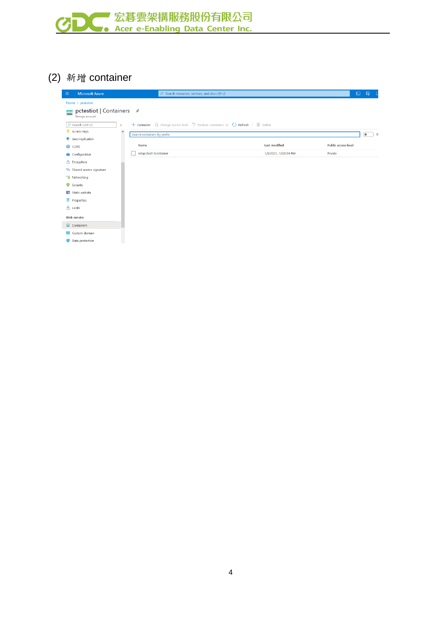

# (2) 新增 container

| <b>Microsoft Azure</b><br>$\equiv$ | $O$ Search resources, services, and docs (G+/)                                                                     |                       | $\boxed{\Sigma}$<br>$\mathbb{F}$ |
|------------------------------------|--------------------------------------------------------------------------------------------------------------------|-----------------------|----------------------------------|
| Home $\ge$ pctestiot               |                                                                                                                    |                       |                                  |
| Storage account                    |                                                                                                                    |                       |                                  |
| $\rho$ Search (Ctrl+/)<br>$\ll$    | + Container $\oplus$ Change access level $\heartsuit$ Restore containers $\vee$ ( ) Refresh $\parallel$ III Delete |                       |                                  |
| Access keys                        | $\land$<br>Search containers by prefix                                                                             |                       | ۰<br>-SI                         |
| Geo-replication                    |                                                                                                                    |                       |                                  |
| CORS <sub>2</sub>                  | Name                                                                                                               | <b>Last modified</b>  | Public access level              |
| Configuration                      | iotapctest13container                                                                                              | 1/5/2021, 12:00:59 PM | Private                          |
| A Encryption                       |                                                                                                                    |                       |                                  |
| Shared access signature            |                                                                                                                    |                       |                                  |
| Networking                         |                                                                                                                    |                       |                                  |
| <b>O</b> Security                  |                                                                                                                    |                       |                                  |
| <b>E</b> Static website            |                                                                                                                    |                       |                                  |
| Properties                         |                                                                                                                    |                       |                                  |
| $A$ Locks                          |                                                                                                                    |                       |                                  |
| Blob service                       |                                                                                                                    |                       |                                  |
| $\equiv$ Containers                |                                                                                                                    |                       |                                  |
| Custom domain                      |                                                                                                                    |                       |                                  |
| Data protection                    |                                                                                                                    |                       |                                  |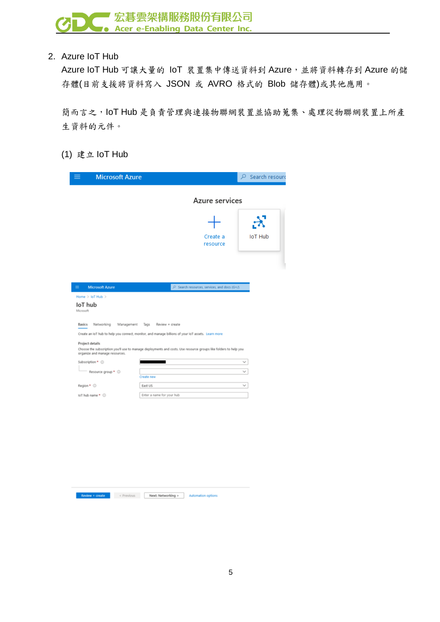2. Azure IoT Hub

Azure IoT Hub 可讓大量的 IoT 裝置集中傳送資料到 Azure,並將資料轉存到 Azure 的儲 存體(目前支援將資料寫入 JSON 或 AVRO 格式的 Blob 儲存體)或其他應用。

簡而言之,IoT Hub 是負責管理與連接物聯網裝置並協助蒐集、處理從物聯網裝置上所產 生資料的元件。

(1) 建立 IoT Hub

| <b>Microsoft Azure</b>                            |                                                                                                                                                                                                                        | $\rho$ Search resourd  |
|---------------------------------------------------|------------------------------------------------------------------------------------------------------------------------------------------------------------------------------------------------------------------------|------------------------|
|                                                   | Azure services                                                                                                                                                                                                         |                        |
|                                                   |                                                                                                                                                                                                                        | $\boldsymbol{\lambda}$ |
|                                                   | Create a<br>resource                                                                                                                                                                                                   | <b>IoT Hub</b>         |
|                                                   |                                                                                                                                                                                                                        |                        |
| <b>Microsoft Azure</b><br>Ξ                       | C Search resources, services, and docs (G+/)                                                                                                                                                                           |                        |
| Home > IoT Hub ><br>loT hub<br>Microsoft          |                                                                                                                                                                                                                        |                        |
| <b>Basics</b><br>Networking<br>Management         | Tags<br>Review + create                                                                                                                                                                                                |                        |
| Project details<br>organize and manage resources. | Create an IoT hub to help you connect, monitor, and manage billions of your IoT assets. Learn more<br>Choose the subscription you'll use to manage deployments and costs. Use resource groups like folders to help you |                        |
| Subscription * 1                                  |                                                                                                                                                                                                                        |                        |
| Resource group * ©                                | Create new                                                                                                                                                                                                             |                        |
| Region * O                                        | East US                                                                                                                                                                                                                | $\checkmark$           |
|                                                   |                                                                                                                                                                                                                        |                        |

**Review + create** < Previous Next: Networking > Automation options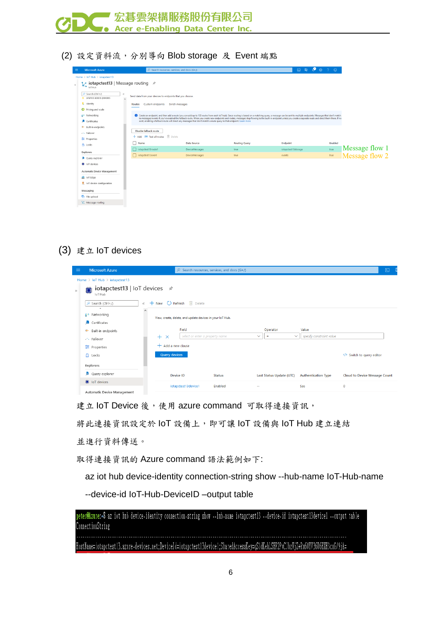

(2) 設定資料流,分別導向 Blob storage 及 Event 端點

| <b>Microsoft Azure</b>                      | $O$ Search resources, services, and docs (G+/)                                     |                                                                                                                       |                      |                                                                                                                                                                                                                   | 8 8 9 8 7 9            |
|---------------------------------------------|------------------------------------------------------------------------------------|-----------------------------------------------------------------------------------------------------------------------|----------------------|-------------------------------------------------------------------------------------------------------------------------------------------------------------------------------------------------------------------|------------------------|
| Home > IoT Hub > iotapctest13               |                                                                                    |                                                                                                                       |                      |                                                                                                                                                                                                                   |                        |
| <b>InT</b> Hub                              | Let iotapctest13   Message routing $\mathcal{R}$                                   |                                                                                                                       |                      |                                                                                                                                                                                                                   |                        |
| P Search (Ctrl+/)<br>snared access policies | $\alpha$<br>Send data from your devices to endpoints that you choose.<br>$\lambda$ |                                                                                                                       |                      |                                                                                                                                                                                                                   |                        |
| & Identity                                  | <b>Custom endpoints</b><br>Routes                                                  | Enrich messages                                                                                                       |                      |                                                                                                                                                                                                                   |                        |
| <b>O</b> Pricing and scale                  |                                                                                    |                                                                                                                       |                      |                                                                                                                                                                                                                   |                        |
| Networking                                  |                                                                                    |                                                                                                                       |                      | ↑ Create an endpoint, and then add a route (you can add up to 100 routes from each IoT hub). Since routing is based on a matching query, a message can be sent to multiple endpoints. Messages that don't match   |                        |
| Certificates                                |                                                                                    | exist, enabling a fallback route will direct any messages that don't match a route query to that endpoint. Learn more |                      | to messages/events if you've enabled the fallback route. When you create new endpoints and routes, messages stop flowing to the built-in endpoint unless you create a separate route and direct them there. If no |                        |
| <sup>e</sup> - Built-in endpoints           |                                                                                    |                                                                                                                       |                      |                                                                                                                                                                                                                   |                        |
| - Failover                                  | Disable fallback route                                                             |                                                                                                                       |                      |                                                                                                                                                                                                                   |                        |
| <b>三</b> Properties                         | + Add III Test all routes III Delete                                               |                                                                                                                       |                      |                                                                                                                                                                                                                   |                        |
| A Locks                                     | Name                                                                               | <b>Data Source</b>                                                                                                    | <b>Routing Query</b> | <b>Endpoint</b>                                                                                                                                                                                                   | Enabled                |
| Explorers                                   | iotapctest13route1                                                                 | DeviceMessages                                                                                                        | true                 | iotapctest13storage                                                                                                                                                                                               | Message flow 1<br>true |
| Query explorer                              | otapctest13event                                                                   | <b>DeviceMessages</b>                                                                                                 | true                 | events                                                                                                                                                                                                            | Message flow 2<br>true |
|                                             |                                                                                    |                                                                                                                       |                      |                                                                                                                                                                                                                   |                        |
| loT devices                                 |                                                                                    |                                                                                                                       |                      |                                                                                                                                                                                                                   |                        |
| Automatic Device Management                 |                                                                                    |                                                                                                                       |                      |                                                                                                                                                                                                                   |                        |
| <b>SR</b> IoT Edge                          |                                                                                    |                                                                                                                       |                      |                                                                                                                                                                                                                   |                        |
| ● IoT device configuration                  |                                                                                    |                                                                                                                       |                      |                                                                                                                                                                                                                   |                        |
| Messaging                                   |                                                                                    |                                                                                                                       |                      |                                                                                                                                                                                                                   |                        |
| File upload                                 |                                                                                    |                                                                                                                       |                      |                                                                                                                                                                                                                   |                        |
|                                             |                                                                                    |                                                                                                                       |                      |                                                                                                                                                                                                                   |                        |

## (3) 建立 IoT devices

ľ

| $\equiv$ | <b>Microsoft Azure</b>                                         |                                                      | $\mathcal{P}$ Search resources, services, and docs (G+/)  |               |              |                          |                            |                               | $\boxed{\Sigma}$ |
|----------|----------------------------------------------------------------|------------------------------------------------------|-----------------------------------------------------------|---------------|--------------|--------------------------|----------------------------|-------------------------------|------------------|
|          | Home $>$ IoT Hub $>$ iotapctest13                              |                                                      |                                                           |               |              |                          |                            |                               |                  |
| $\gg$    | iotapctest13   IoT devices $\mathcal{\hat{P}}$<br>▣<br>loT Hub |                                                      |                                                           |               |              |                          |                            |                               |                  |
|          | $\rho$ Search (Ctrl+/)                                         | $+$ New $\circ$ Refresh $\mathbb{F}$ Delete<br>$\ll$ |                                                           |               |              |                          |                            |                               |                  |
|          | ₹ <sup>→</sup> Networking                                      | $\land$                                              |                                                           |               |              |                          |                            |                               |                  |
|          | <b>Certificates</b>                                            |                                                      | View, create, delete, and update devices in your loT Hub. |               |              |                          |                            |                               |                  |
|          | Built-in endpoints<br>$\bullet$                                |                                                      | Field                                                     |               |              | Operator                 | Value                      |                               |                  |
|          | - <sup>*</sup> Failover                                        | $+$<br>$\times$                                      | select or enter a property name                           |               | $\checkmark$ | $\equiv$<br>$\checkmark$ | specify constraint value   |                               |                  |
|          | 출 Properties                                                   | $+$ Add a new clause                                 |                                                           |               |              |                          |                            |                               |                  |
|          | $A$ Locks                                                      | Query devices                                        |                                                           |               |              |                          |                            | Switch to query editor        |                  |
|          | Explorers                                                      |                                                      |                                                           |               |              |                          |                            |                               |                  |
|          | Query explorer                                                 |                                                      | Device ID                                                 | <b>Status</b> |              | Last Status Update (UTC) | <b>Authentication Type</b> | Cloud to Device Message Count |                  |
|          | loT devices                                                    |                                                      |                                                           | Enabled       |              |                          |                            |                               |                  |
|          | Automatic Device Management                                    |                                                      | iotapctest13device1                                       |               | н.           |                          | Sas                        | $\mathbf 0$                   |                  |

建立 IoT Device 後,使用 azure command 可取得連接資訊,

將此連接資訊設定於 IoT 設備上,即可讓 IoT 設備與 IoT Hub 建立連結

並進行資料傳送。

取得連接資訊的 Azure command 語法範例如下:

az iot hub device-identity connection-string show --hub-name IoT-Hub-name

--device-id IoT-Hub-DeviceID –output table

peter@Azure:~\$ az iot hub device-identity connection-string show --hub-name iotapctest13 --device-id iotapctest13device1 --output table ConnectionString HostName=iotapctest13.azure-devices.net;DeviceId=iotapctest13device1;SharedAccessKey=qS1dKehLSHP2PvCJbzVjZ+Ru60YV36U6HXH3cuG/9jA=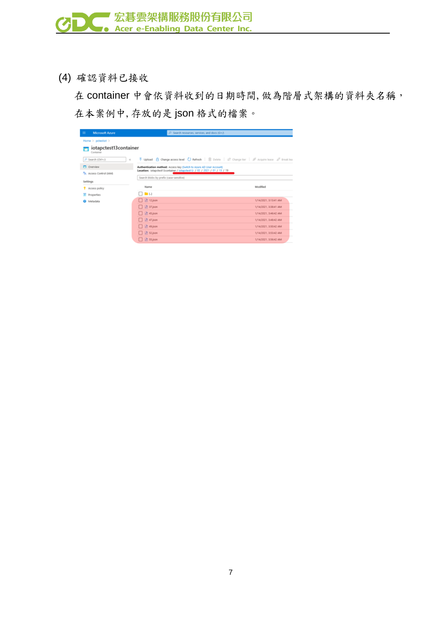(4) 確認資料已接收

 在 container 中會依資料收到的日期時間,做為階層式架構的資料夾名稱, 在本案例中,存放的是 json 格式的檔案。

| ٠<br><b>Microsoft Azure</b>        | $D$ Search resources, services, and docs (G+/)                            |                                                                                                                                                                                        |
|------------------------------------|---------------------------------------------------------------------------|----------------------------------------------------------------------------------------------------------------------------------------------------------------------------------------|
| Home $>$ pctestiot $>$             |                                                                           |                                                                                                                                                                                        |
| iotapctest13container<br>Container |                                                                           |                                                                                                                                                                                        |
| P Search (Ctrl+/)                  | $\ll$                                                                     | $\overline{\uparrow}$ Upload $\bigoplus$ Change access level $\bigcirc$ Refresh $\big $ $\bigcirc$ Delete $\big $ $\rightleftarrows$ Change tier $\big $ of Acquire lease of Break lea |
| <b>D</b> Overview                  | Authentication method: Access key (Smitch to Azure AD User Account)       |                                                                                                                                                                                        |
| PR Access Control (IAM)            | Location: iotapctest13container / iotapctest13 / 02 / 2021 / 01 / 13 / 19 |                                                                                                                                                                                        |
| Settings                           | Search blobs by prefix (case-sensitive)                                   |                                                                                                                                                                                        |
| <b>T</b> Access policy             | Name                                                                      | Modified                                                                                                                                                                               |
| II Properties                      | $\Box$ in $\Box$                                                          |                                                                                                                                                                                        |
| Metadata                           | $\Box$ $\Box$ 12 json                                                     | 1/14/2021, 3:13:41 AM                                                                                                                                                                  |
|                                    | $\Box$ $\Box$ 37.json                                                     | 1/14/2021, 3:38:41 AM                                                                                                                                                                  |
|                                    | $\Box$ $\Box$ 45.json                                                     | 1/14/2021, 3:46:42 AM                                                                                                                                                                  |
|                                    | $\Box$ $\Box$ 47.json                                                     | 1/14/2021, 3:48:42 AM                                                                                                                                                                  |
|                                    | $\Box$ $\Box$ 49.json                                                     | 1/14/2021, 3:50:42 AM                                                                                                                                                                  |
|                                    | $\Box$ $\Box$ 52.json                                                     | 1/14/2021, 3:53:42 AM                                                                                                                                                                  |
|                                    | $\Box$ $\Box$ 55.json                                                     | 1/14/2021, 3:56:42 AM                                                                                                                                                                  |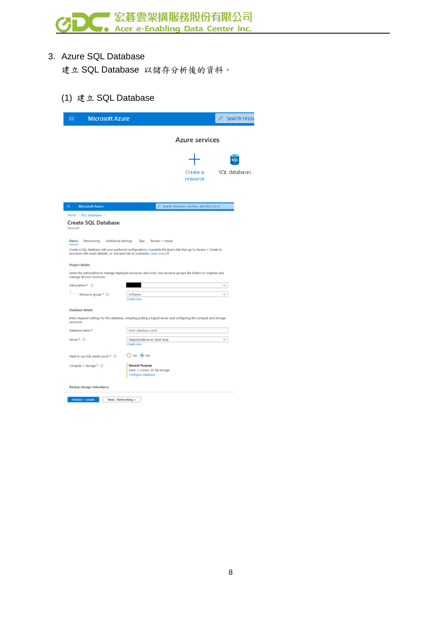

#### 3. Azure SQL Database

建立 SQL Database 以儲存分析後的資料。

#### (1) 建立 SQL Database

| <b>Microsoft Azure</b>                                                                                                                                                                          |                                                                               |                 |                                                | $\rho$ Search resou |
|-------------------------------------------------------------------------------------------------------------------------------------------------------------------------------------------------|-------------------------------------------------------------------------------|-----------------|------------------------------------------------|---------------------|
|                                                                                                                                                                                                 |                                                                               |                 | Azure services                                 |                     |
|                                                                                                                                                                                                 |                                                                               |                 |                                                |                     |
|                                                                                                                                                                                                 |                                                                               |                 | Create a<br>resource                           | SQL databases       |
|                                                                                                                                                                                                 |                                                                               |                 |                                                |                     |
| ۰<br><b>Microsoft Azure</b>                                                                                                                                                                     |                                                                               |                 | , P Search resources, services, and docs (G+/) |                     |
| Home > SQL databases ><br>Create SQL Database<br>Microsoft                                                                                                                                      |                                                                               |                 |                                                |                     |
| Basics<br>Networking<br>Additional settings                                                                                                                                                     | Tags                                                                          | Review + create |                                                |                     |
| Create a SQL database with your preferred configurations. Complete the Basics tab then go to Review + Create to<br>provision with smart defaults, or visit each tab to customize. Learn more L2 |                                                                               |                 |                                                |                     |
| Project details                                                                                                                                                                                 |                                                                               |                 |                                                |                     |
| Select the subscription to manage deployed resources and costs. Use resource groups like folders to organize and<br>manage all your resources.                                                  |                                                                               |                 |                                                |                     |
| Subscription * O                                                                                                                                                                                |                                                                               |                 |                                                |                     |
| Resource group * ©                                                                                                                                                                              | loTDemo<br>Create new                                                         |                 |                                                |                     |
| Database details                                                                                                                                                                                |                                                                               |                 |                                                |                     |
| Enter required settings for this database, including picking a logical server and configuring the compute and storage<br>resources                                                              |                                                                               |                 |                                                |                     |
| Database name *                                                                                                                                                                                 | Enter database name                                                           |                 |                                                |                     |
| Server * ©                                                                                                                                                                                      | iotapctestdbserver (East Asia)<br>Create new                                  |                 |                                                |                     |
| Want to use SQL elastic pool? * ©                                                                                                                                                               | ○ Yes ● No                                                                    |                 |                                                |                     |
| Compute + storage * ©                                                                                                                                                                           | <b>General Purpose</b><br>Gen5, 2 vCores, 32 GB storage<br>Configure database |                 |                                                |                     |
| Backup storage redundancy                                                                                                                                                                       |                                                                               |                 |                                                |                     |
| Next : Networking >                                                                                                                                                                             |                                                                               |                 |                                                |                     |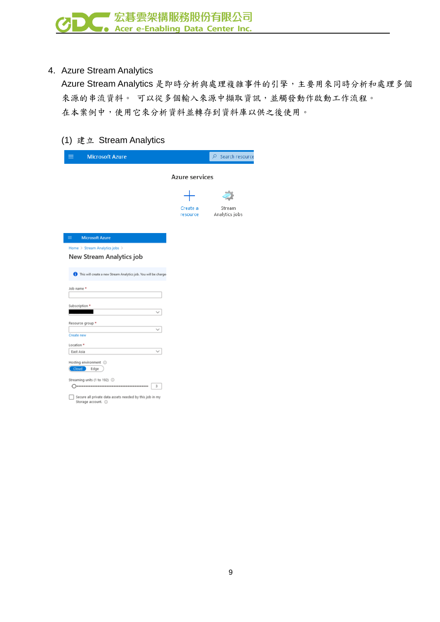### 4. Azure Stream Analytics

Azure Stream Analytics 是即時分析與處理複雜事件的引擎,主要用來同時分析和處理多個 來源的串流資料。 可以從多個輸入來源中擷取資訊,並觸發動作啟動工作流程。 在本案例中,使用它來分析資料並轉存到資料庫以供之後使用。

#### (1) 建立 Stream Analytics

| <b>Microsoft Azure</b>                                                          |                      | $\rho$ Search resource   |
|---------------------------------------------------------------------------------|----------------------|--------------------------|
|                                                                                 | Azure services       |                          |
|                                                                                 |                      |                          |
|                                                                                 | Create a<br>resource | Stream<br>Analytics jobs |
| $\equiv$<br><b>Microsoft Azure</b>                                              |                      |                          |
| Home > Stream Analytics jobs ><br>New Stream Analytics job                      |                      |                          |
| This will create a new Stream Analytics job. You will be charge                 |                      |                          |
| Job name *                                                                      |                      |                          |
| Subscription *                                                                  |                      |                          |
| Resource group *                                                                |                      |                          |
| Create new<br>Location *                                                        |                      |                          |
| East Asia                                                                       |                      |                          |
| Hosting environment 1<br>Cloud <sup>2</sup><br>Edge                             |                      |                          |
| Streaming units (1 to 192) 1<br>3<br>----------------------------------         |                      |                          |
| Secure all private data assets needed by this job in my<br>Storage account. (i) |                      |                          |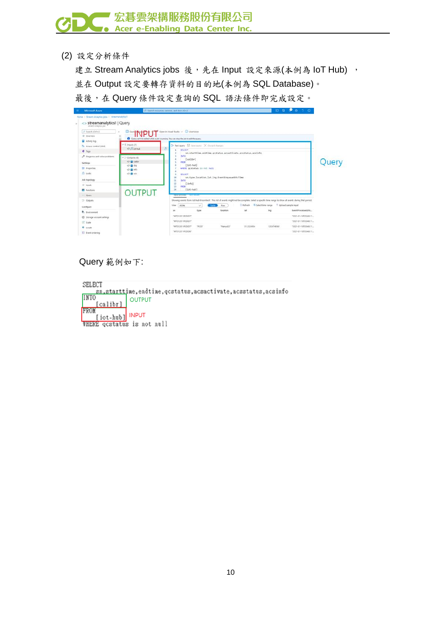

(2) 設定分析條件

建立 Stream Analytics jobs 後,先在 Input 設定來源(本例為 IoT Hub), 並在 Output 設定要轉存資料的目的地(本例為 SQL Database)。 最後,在 Query 條件設定查詢的 SQL 語法條件即完成設定。



Query 範例如下:

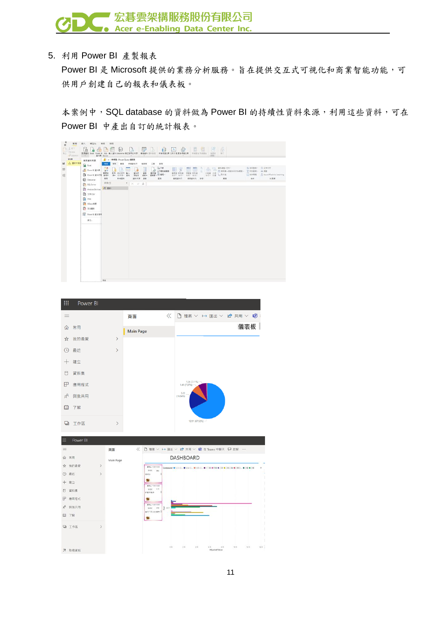

5. 利用 Power BI 產製報表

Power BI 是 Microsoft 提供的業務分析服務。旨在提供交互式可視化和商業智能功能,可 供用戶創建自己的報表和儀表板。

本案例中,SQL database 的資料做為 Power BI 的持續性資料來源,利用這些資料,可在 Power BI 中產出自訂的統計報表。